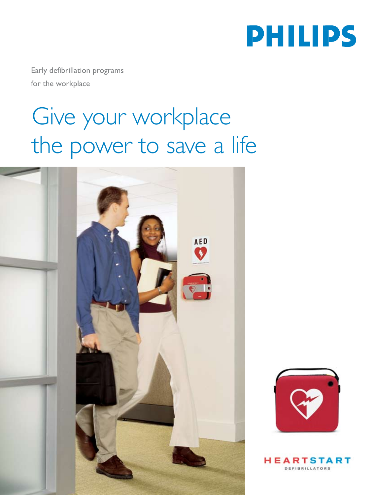

Early defibrillation programs for the workplace

## Give your workplace the power to save a life





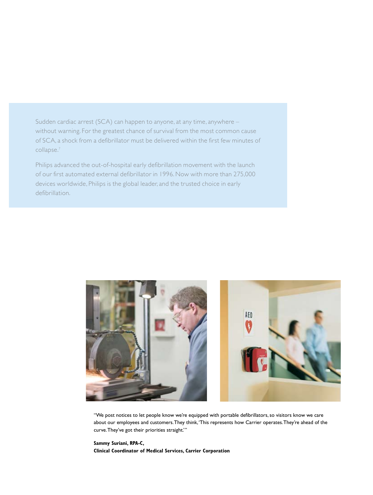Sudden cardiac arrest (SCA) can happen to anyone, at any time, anywhere – without warning. For the greatest chance of survival from the most common cause of SCA, a shock from a defibrillator must be delivered within the first few minutes of collapse.<sup>7</sup>

Philips advanced the out-of-hospital early defibrillation movement with the launch of our first automated external defibrillator in 1996. Now with more than 275,000 devices worldwide, Philips is the global leader, and the trusted choice in early defibrillation.



"We post notices to let people know we're equipped with portable defibrillators, so visitors know we care about our employees and customers. They think, 'This represents how Carrier operates. They're ahead of the curve. They've got their priorities straight.'"

**Sammy Suriani, RPA-C, Clinical Coordinator of Medical Services, Carrier Corporation**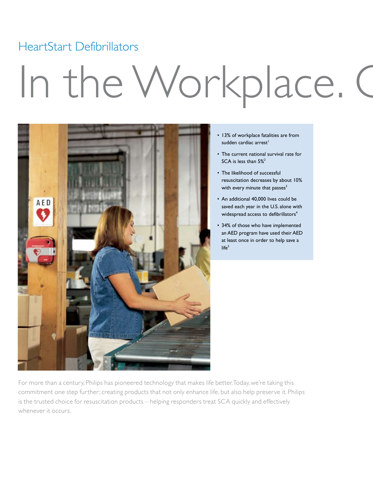### HeartStart Defibrillators

# In the Workplace. C



- 13% of workplace fatalities are from sudden cardiac arrest<sup>1</sup>
- The current national survival rate for SCA is less than 5%<sup>2</sup>
- The likelihood of successful resuscitation decreases by about 10% with every minute that passes $3$
- An additional 40,000 lives could be saved each year in the U.S. alone with widespread access to defibrillators<sup>4</sup>
- 34% of those who have implemented an AED program have used their AED at least once in order to help save a  $l$ ife $5$

For more than a century, Philips has pioneered technology that makes life better. Today, we're taking this commitment one step further; creating products that not only enhance life, but also help preserve it. Philips is the trusted choice for resuscitation products – helping responders treat SCA quickly and effectively whenever it occurs.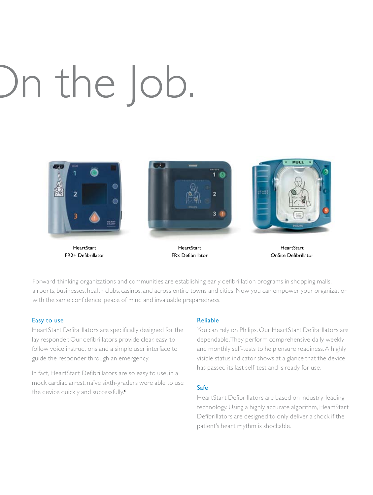# In the Job.



HeartStart FR2+ Defibrillator



HeartStart FRx Defibrillator



HeartStart OnSite Defibrillator

Forward-thinking organizations and communities are establishing early defibrillation programs in shopping malls, airports, businesses, health clubs, casinos, and across entire towns and cities. Now you can empower your organization with the same confidence, peace of mind and invaluable preparedness.

#### Easy to use

HeartStart Defibrillators are specifically designed for the lay responder. Our defibrillators provide clear, easy-tofollow voice instructions and a simple user interface to guide the responder through an emergency.

In fact, HeartStart Defibrillators are so easy to use, in a mock cardiac arrest, naïve sixth-graders were able to use the device quickly and successfully.<sup>6</sup>

#### Reliable

You can rely on Philips. Our HeartStart Defibrillators are dependable. They perform comprehensive daily, weekly and monthly self-tests to help ensure readiness. A highly visible status indicator shows at a glance that the device has passed its last self-test and is ready for use.

#### Safe

HeartStart Defibrillators are based on industry-leading technology. Using a highly accurate algorithm, HeartStart Defibrillators are designed to only deliver a shock if the patient's heart rhythm is shockable.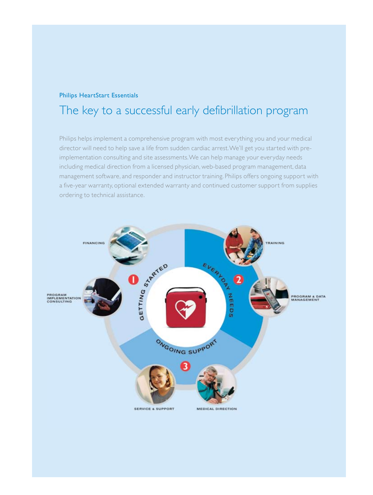#### Philips HeartStart Essentials

### The key to a successful early defibrillation program

Philips helps implement a comprehensive program with most everything you and your medical director will need to help save a life from sudden cardiac arrest. We'll get you started with preimplementation consulting and site assessments. We can help manage your everyday needs including medical direction from a licensed physician, web-based program management, data management software, and responder and instructor training. Philips offers ongoing support with a five-year warranty, optional extended warranty and continued customer support from supplies ordering to technical assistance.